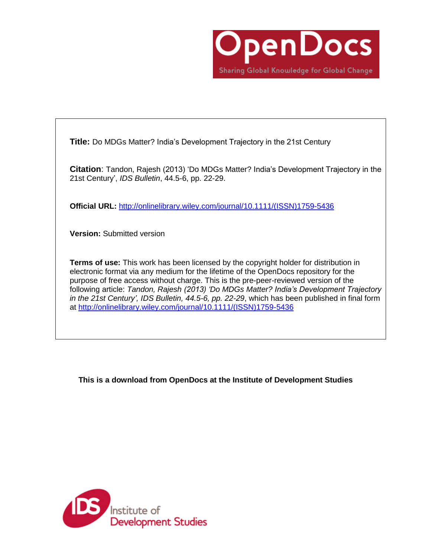

**Title:** Do MDGs Matter? India's Development Trajectory in the 21st Century

**Citation**: Tandon, Rajesh (2013) 'Do MDGs Matter? India's Development Trajectory in the 21st Century', *IDS Bulletin*, 44.5-6, pp. 22-29.

**Official URL:** [http://onlinelibrary.wiley.com/journal/10.1111/\(ISSN\)1759-5436](http://onlinelibrary.wiley.com/journal/10.1111/(ISSN)1759-5436)

**Version:** Submitted version

**Terms of use:** This work has been licensed by the copyright holder for distribution in electronic format via any medium for the lifetime of the OpenDocs repository for the purpose of free access without charge. This is the pre-peer-reviewed version of the following article: *Tandon, Rajesh (2013) 'Do MDGs Matter? India's Development Trajectory in the 21st Century', IDS Bulletin, 44.5-6, pp. 22-29*, which has been published in final form at [http://onlinelibrary.wiley.com/journal/10.1111/\(ISSN\)1759-5436](http://onlinelibrary.wiley.com/journal/10.1111/(ISSN)1759-5436)

**This is a download from OpenDocs at the Institute of Development Studies**

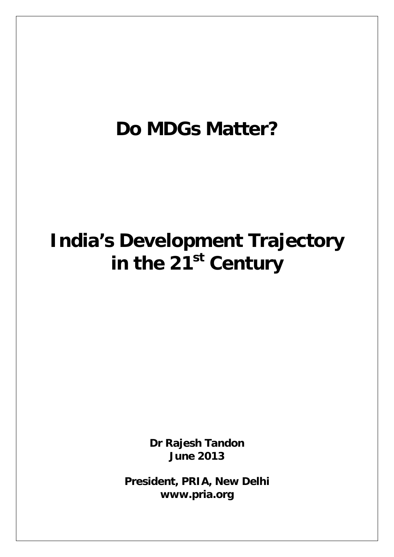# **Do MDGs Matter?**

# **India's Development Trajectory**  in the 21<sup>st</sup> Century

**Dr Rajesh Tandon June 2013**

**President, PRIA, New Delhi www.pria.org**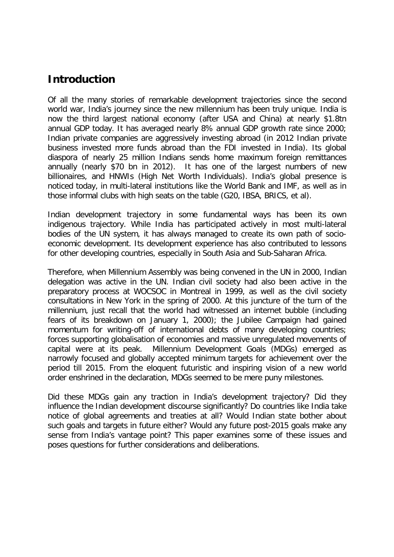## **Introduction**

Of all the many stories of remarkable development trajectories since the second world war, India's journey since the new millennium has been truly unique. India is now the third largest national economy (after USA and China) at nearly \$1.8tn annual GDP today. It has averaged nearly 8% annual GDP growth rate since 2000; Indian private companies are aggressively investing abroad (in 2012 Indian private business invested more funds abroad than the FDI invested in India). Its global diaspora of nearly 25 million Indians sends home maximum foreign remittances annually (nearly \$70 bn in 2012). It has one of the largest numbers of new billionaires, and HNWIs (High Net Worth Individuals). India's global presence is noticed today, in multi-lateral institutions like the World Bank and IMF, as well as in those informal clubs with high seats on the table (G20, IBSA, BRICS, et al).

Indian development trajectory in some fundamental ways has been its own indigenous trajectory. While India has participated actively in most multi-lateral bodies of the UN system, it has always managed to create its own path of socioeconomic development. Its development experience has also contributed to lessons for other developing countries, especially in South Asia and Sub-Saharan Africa.

Therefore, when Millennium Assembly was being convened in the UN in 2000, Indian delegation was active in the UN. Indian civil society had also been active in the preparatory process at WOCSOC in Montreal in 1999, as well as the civil society consultations in New York in the spring of 2000. At this juncture of the turn of the millennium, just recall that the world had witnessed an internet bubble (including fears of its breakdown on January 1, 2000); the Jubilee Campaign had gained momentum for writing-off of international debts of many developing countries; forces supporting globalisation of economies and massive unregulated movements of capital were at its peak. Millennium Development Goals (MDGs) emerged as narrowly focused and globally accepted minimum targets for achievement over the period till 2015. From the eloquent futuristic and inspiring vision of a new world order enshrined in the declaration, MDGs seemed to be mere puny milestones.

Did these MDGs gain any traction in India's development trajectory? Did they influence the Indian development discourse significantly? Do countries like India take notice of global agreements and treaties at all? Would Indian state bother about such goals and targets in future either? Would any future post-2015 goals make any sense from India's vantage point? This paper examines some of these issues and poses questions for further considerations and deliberations.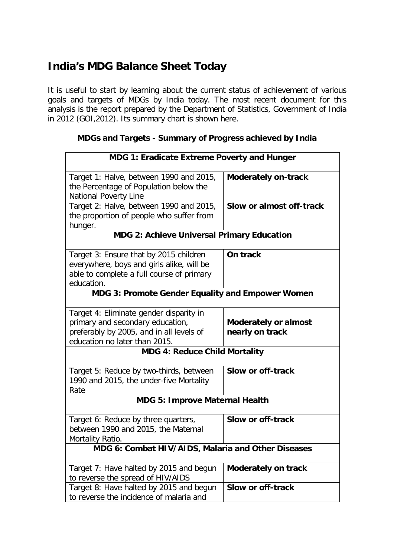# **India's MDG Balance Sheet Today**

It is useful to start by learning about the current status of achievement of various goals and targets of MDGs by India today. The most recent document for this analysis is the report prepared by the Department of Statistics, Government of India in 2012 (GOI,2012). Its summary chart is shown here.

| MDG 1: Eradicate Extreme Poverty and Hunger                                                                                                              |                                                |  |
|----------------------------------------------------------------------------------------------------------------------------------------------------------|------------------------------------------------|--|
| Target 1: Halve, between 1990 and 2015,<br>the Percentage of Population below the<br><b>National Poverty Line</b>                                        | Moderately on-track                            |  |
| Target 2: Halve, between 1990 and 2015,<br>the proportion of people who suffer from<br>hunger.                                                           | Slow or almost off-track                       |  |
| MDG 2: Achieve Universal Primary Education                                                                                                               |                                                |  |
| Target 3: Ensure that by 2015 children<br>everywhere, boys and girls alike, will be<br>able to complete a full course of primary<br>education.           | On track                                       |  |
| <b>MDG 3: Promote Gender Equality and Empower Women</b>                                                                                                  |                                                |  |
| Target 4: Eliminate gender disparity in<br>primary and secondary education,<br>preferably by 2005, and in all levels of<br>education no later than 2015. | <b>Moderately or almost</b><br>nearly on track |  |
| <b>MDG 4: Reduce Child Mortality</b>                                                                                                                     |                                                |  |
| Target 5: Reduce by two-thirds, between<br>1990 and 2015, the under-five Mortality<br>Rate                                                               | Slow or off-track                              |  |
| <b>MDG 5: Improve Maternal Health</b>                                                                                                                    |                                                |  |
| Target 6: Reduce by three quarters,<br>between 1990 and 2015, the Maternal<br>Mortality Ratio.                                                           | <b>Slow or off-track</b>                       |  |
| MDG 6: Combat HIV/AIDS, Malaria and Other Diseases                                                                                                       |                                                |  |
| Target 7: Have halted by 2015 and begun<br>to reverse the spread of HIV/AIDS                                                                             | <b>Moderately on track</b>                     |  |
| Target 8: Have halted by 2015 and begun<br>to reverse the incidence of malaria and                                                                       | Slow or off-track                              |  |

#### **MDGs and Targets - Summary of Progress achieved by India**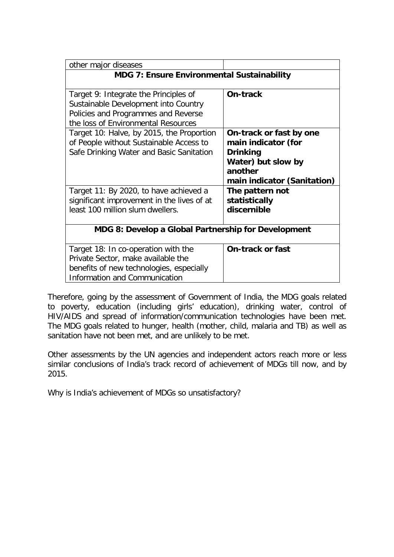| other major diseases                                |                             |  |
|-----------------------------------------------------|-----------------------------|--|
| <b>MDG 7: Ensure Environmental Sustainability</b>   |                             |  |
|                                                     |                             |  |
| Target 9: Integrate the Principles of               | On-track                    |  |
| Sustainable Development into Country                |                             |  |
| Policies and Programmes and Reverse                 |                             |  |
| the loss of Environmental Resources                 |                             |  |
| Target 10: Halve, by 2015, the Proportion           | On-track or fast by one     |  |
| of People without Sustainable Access to             | main indicator (for         |  |
| Safe Drinking Water and Basic Sanitation            | <b>Drinking</b>             |  |
|                                                     | Water) but slow by          |  |
|                                                     | another                     |  |
|                                                     | main indicator (Sanitation) |  |
| Target 11: By 2020, to have achieved a              | The pattern not             |  |
| significant improvement in the lives of at          | statistically               |  |
| least 100 million slum dwellers.                    | discernible                 |  |
|                                                     |                             |  |
| MDG 8: Develop a Global Partnership for Development |                             |  |
| Target 18: In co-operation with the                 | <b>On-track or fast</b>     |  |
| Private Sector, make available the                  |                             |  |
| benefits of new technologies, especially            |                             |  |
| <b>Information and Communication</b>                |                             |  |
|                                                     |                             |  |

Therefore, going by the assessment of Government of India, the MDG goals related to poverty, education (including girls' education), drinking water, control of HIV/AIDS and spread of information/communication technologies have been met. The MDG goals related to hunger, health (mother, child, malaria and TB) as well as sanitation have not been met, and are unlikely to be met.

Other assessments by the UN agencies and independent actors reach more or less similar conclusions of India's track record of achievement of MDGs till now, and by 2015.

Why is India's achievement of MDGs so unsatisfactory?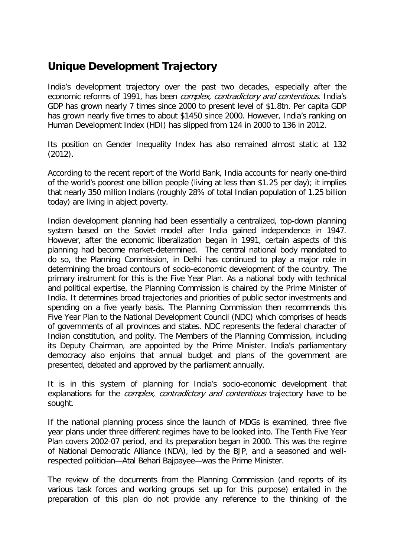# **Unique Development Trajectory**

India's development trajectory over the past two decades, especially after the economic reforms of 1991, has been *complex, contradictory and contentious*. India's GDP has grown nearly 7 times since 2000 to present level of \$1.8tn. Per capita GDP has grown nearly five times to about \$1450 since 2000. However, India's ranking on Human Development Index (HDI) has slipped from 124 in 2000 to 136 in 2012.

Its position on Gender Inequality Index has also remained almost static at 132 (2012).

According to the recent report of the World Bank, India accounts for nearly one-third of the world's poorest one billion people (living at less than \$1.25 per day); it implies that nearly 350 million Indians (roughly 28% of total Indian population of 1.25 billion today) are living in abject poverty.

Indian development planning had been essentially a centralized, top-down planning system based on the Soviet model after India gained independence in 1947. However, after the economic liberalization began in 1991, certain aspects of this planning had become market-determined. The central national body mandated to do so, the Planning Commission, in Delhi has continued to play a major role in determining the broad contours of socio-economic development of the country. The primary instrument for this is the Five Year Plan. As a national body with technical and political expertise, the Planning Commission is chaired by the Prime Minister of India. It determines broad trajectories and priorities of public sector investments and spending on a five yearly basis. The Planning Commission then recommends this Five Year Plan to the National Development Council (NDC) which comprises of heads of governments of all provinces and states. NDC represents the federal character of Indian constitution, and polity. The Members of the Planning Commission, including its Deputy Chairman, are appointed by the Prime Minister. India's parliamentary democracy also enjoins that annual budget and plans of the government are presented, debated and approved by the parliament annually.

It is in this system of planning for India's socio-economic development that explanations for the *complex, contradictory and contentious* trajectory have to be sought.

If the national planning process since the launch of MDGs is examined, three five year plans under three different regimes have to be looked into. The Tenth Five Year Plan covers 2002-07 period, and its preparation began in 2000. This was the regime of National Democratic Alliance (NDA), led by the BJP, and a seasoned and wellrespected politician—Atal Behari Bajpayee—was the Prime Minister.

The review of the documents from the Planning Commission (and reports of its various task forces and working groups set up for this purpose) entailed in the preparation of this plan do not provide any reference to the thinking of the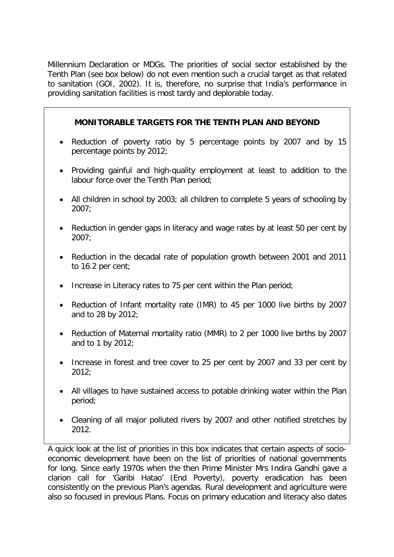Millennium Declaration or MDGs. The priorities of social sector established by the Tenth Plan (see box below) do not even mention such a crucial target as that related to sanitation (GOI, 2002). It is, therefore, no surprise that India's performance in providing sanitation facilities is most tardy and deplorable today.

#### **MONITORABLE TARGETS FOR THE TENTH PLAN AND BEYOND**

- Reduction of poverty ratio by 5 percentage points by 2007 and by 15 percentage points by 2012;
- Providing gainful and high-quality employment at least to addition to the labour force over the Tenth Plan period;
- All children in school by 2003; all children to complete 5 years of schooling by 2007;
- Reduction in gender gaps in literacy and wage rates by at least 50 per cent by 2007;
- Reduction in the decadal rate of population growth between 2001 and 2011 to 16.2 per cent;
- Increase in Literacy rates to 75 per cent within the Plan period;
- Reduction of Infant mortality rate (IMR) to 45 per 1000 live births by 2007 and to 28 by 2012;
- Reduction of Maternal mortality ratio (MMR) to 2 per 1000 live births by 2007 and to 1 by 2012;
- Increase in forest and tree cover to 25 per cent by 2007 and 33 per cent by 2012;
- All villages to have sustained access to potable drinking water within the Plan period;
- Cleaning of all major polluted rivers by 2007 and other notified stretches by 2012.

A quick look at the list of priorities in this box indicates that certain aspects of socioeconomic development have been on the list of priorities of national governments for long. Since early 1970s when the then Prime Minister Mrs Indira Gandhi gave a clarion call for 'Garibi Hatao' (End Poverty), poverty eradication has been consistently on the previous Plan's agendas. Rural development and agriculture were also so focused in previous Plans. Focus on primary education and literacy also dates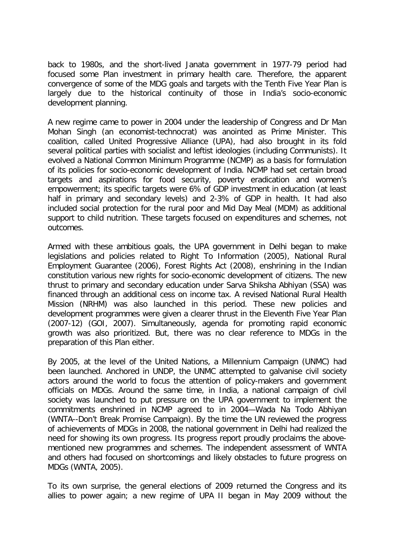back to 1980s, and the short-lived Janata government in 1977-79 period had focused some Plan investment in primary health care. Therefore, the apparent convergence of some of the MDG goals and targets with the Tenth Five Year Plan is largely due to the historical continuity of those in India's socio-economic development planning.

A new regime came to power in 2004 under the leadership of Congress and Dr Man Mohan Singh (an economist-technocrat) was anointed as Prime Minister. This coalition, called United Progressive Alliance (UPA), had also brought in its fold several political parties with socialist and leftist ideologies (including Communists). It evolved a National Common Minimum Programme (NCMP) as a basis for formulation of its policies for socio-economic development of India. NCMP had set certain broad targets and aspirations for food security, poverty eradication and women's empowerment; its specific targets were 6% of GDP investment in education (at least half in primary and secondary levels) and 2-3% of GDP in health. It had also included social protection for the rural poor and Mid Day Meal (MDM) as additional support to child nutrition. These targets focused on expenditures and schemes, not outcomes.

Armed with these ambitious goals, the UPA government in Delhi began to make legislations and policies related to Right To Information (2005), National Rural Employment Guarantee (2006), Forest Rights Act (2008), enshrining in the Indian constitution various new rights for socio-economic development of citizens. The new thrust to primary and secondary education under Sarva Shiksha Abhiyan (SSA) was financed through an additional cess on income tax. A revised National Rural Health Mission (NRHM) was also launched in this period. These new policies and development programmes were given a clearer thrust in the Eleventh Five Year Plan (2007-12) (GOI, 2007). Simultaneously, agenda for promoting rapid economic growth was also prioritized. But, there was no clear reference to MDGs in the preparation of this Plan either.

By 2005, at the level of the United Nations, a Millennium Campaign (UNMC) had been launched. Anchored in UNDP, the UNMC attempted to galvanise civil society actors around the world to focus the attention of policy-makers and government officials on MDGs. Around the same time, in India, a national campaign of civil society was launched to put pressure on the UPA government to implement the commitments enshrined in NCMP agreed to in 2004—Wada Na Todo Abhiyan (WNTA--Don't Break Promise Campaign). By the time the UN reviewed the progress of achievements of MDGs in 2008, the national government in Delhi had realized the need for showing its own progress. Its progress report proudly proclaims the abovementioned new programmes and schemes. The independent assessment of WNTA and others had focused on shortcomings and likely obstacles to future progress on MDGs (WNTA, 2005).

To its own surprise, the general elections of 2009 returned the Congress and its allies to power again; a new regime of UPA II began in May 2009 without the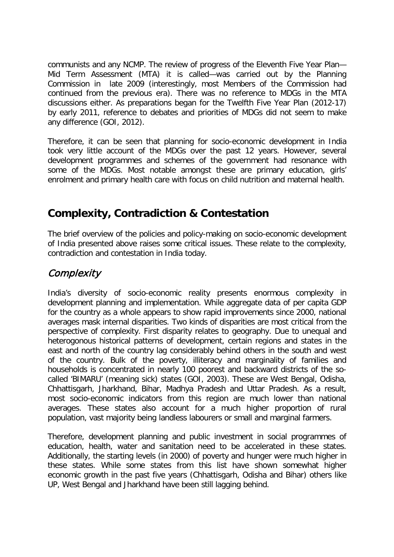communists and any NCMP. The review of progress of the Eleventh Five Year Plan— Mid Term Assessment (MTA) it is called—was carried out by the Planning Commission in late 2009 (interestingly, most Members of the Commission had continued from the previous era). There was no reference to MDGs in the MTA discussions either. As preparations began for the Twelfth Five Year Plan (2012-17) by early 2011, reference to debates and priorities of MDGs did not seem to make any difference (GOI, 2012).

Therefore, it can be seen that planning for socio-economic development in India took very little account of the MDGs over the past 12 years. However, several development programmes and schemes of the government had resonance with some of the MDGs. Most notable amongst these are primary education, girls' enrolment and primary health care with focus on child nutrition and maternal health.

## **Complexity, Contradiction & Contestation**

The brief overview of the policies and policy-making on socio-economic development of India presented above raises some critical issues. These relate to the complexity, contradiction and contestation in India today.

## **Complexity**

India's diversity of socio-economic reality presents enormous complexity in development planning and implementation. While aggregate data of per capita GDP for the country as a whole appears to show rapid improvements since 2000, national averages mask internal disparities. Two kinds of disparities are most critical from the perspective of complexity. First disparity relates to geography. Due to unequal and heterogonous historical patterns of development, certain regions and states in the east and north of the country lag considerably behind others in the south and west of the country. Bulk of the poverty, illiteracy and marginality of families and households is concentrated in nearly 100 poorest and backward districts of the socalled 'BIMARU' (meaning sick) states (GOI, 2003). These are West Bengal, Odisha, Chhattisgarh, Jharkhand, Bihar, Madhya Pradesh and Uttar Pradesh. As a result, most socio-economic indicators from this region are much lower than national averages. These states also account for a much higher proportion of rural population, vast majority being landless labourers or small and marginal farmers.

Therefore, development planning and public investment in social programmes of education, health, water and sanitation need to be accelerated in these states. Additionally, the starting levels (in 2000) of poverty and hunger were much higher in these states. While some states from this list have shown somewhat higher economic growth in the past five years (Chhattisgarh, Odisha and Bihar) others like UP, West Bengal and Jharkhand have been still lagging behind.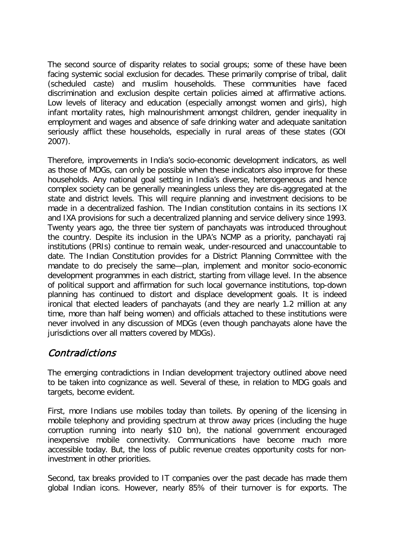The second source of disparity relates to social groups; some of these have been facing systemic social exclusion for decades. These primarily comprise of tribal, dalit (scheduled caste) and muslim households. These communities have faced discrimination and exclusion despite certain policies aimed at affirmative actions. Low levels of literacy and education (especially amongst women and girls), high infant mortality rates, high malnourishment amongst children, gender inequality in employment and wages and absence of safe drinking water and adequate sanitation seriously afflict these households, especially in rural areas of these states (GOI 2007).

Therefore, improvements in India's socio-economic development indicators, as well as those of MDGs, can only be possible when these indicators also improve for these households. Any national goal setting in India's diverse, heterogeneous and hence complex society can be generally meaningless unless they are dis-aggregated at the state and district levels. This will require planning and investment decisions to be made in a decentralized fashion. The Indian constitution contains in its sections IX and IXA provisions for such a decentralized planning and service delivery since 1993. Twenty years ago, the three tier system of panchayats was introduced throughout the country. Despite its inclusion in the UPA's NCMP as a priority, panchayati raj institutions (PRIs) continue to remain weak, under-resourced and unaccountable to date. The Indian Constitution provides for a District Planning Committee with the mandate to do precisely the same—plan, implement and monitor socio-economic development programmes in each district, starting from village level. In the absence of political support and affirmation for such local governance institutions, top-down planning has continued to distort and displace development goals. It is indeed ironical that elected leaders of panchayats (and they are nearly 1.2 million at any time, more than half being women) and officials attached to these institutions were never involved in any discussion of MDGs (even though panchayats alone have the jurisdictions over all matters covered by MDGs).

### Contradictions

The emerging contradictions in Indian development trajectory outlined above need to be taken into cognizance as well. Several of these, in relation to MDG goals and targets, become evident.

First, more Indians use mobiles today than toilets. By opening of the licensing in mobile telephony and providing spectrum at throw away prices (including the huge corruption running into nearly \$10 bn), the national government encouraged inexpensive mobile connectivity. Communications have become much more accessible today. But, the loss of public revenue creates opportunity costs for noninvestment in other priorities.

Second, tax breaks provided to IT companies over the past decade has made them global Indian icons. However, nearly 85% of their turnover is for exports. The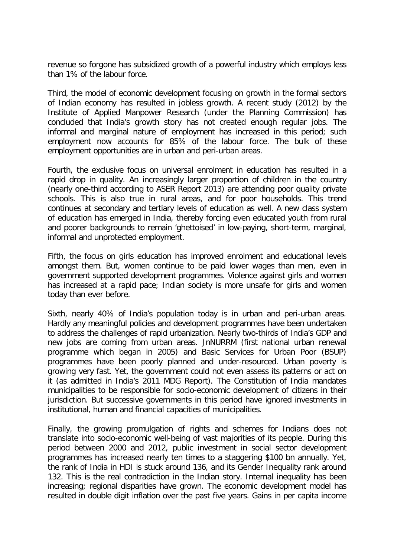revenue so forgone has subsidized growth of a powerful industry which employs less than 1% of the labour force.

Third, the model of economic development focusing on growth in the formal sectors of Indian economy has resulted in jobless growth. A recent study (2012) by the Institute of Applied Manpower Research (under the Planning Commission) has concluded that India's growth story has not created enough regular jobs. The informal and marginal nature of employment has increased in this period; such employment now accounts for 85% of the labour force. The bulk of these employment opportunities are in urban and peri-urban areas.

Fourth, the exclusive focus on universal enrolment in education has resulted in a rapid drop in quality. An increasingly larger proportion of children in the country (nearly one-third according to ASER Report 2013) are attending poor quality private schools. This is also true in rural areas, and for poor households. This trend continues at secondary and tertiary levels of education as well. A new class system of education has emerged in India, thereby forcing even educated youth from rural and poorer backgrounds to remain 'ghettoised' in low-paying, short-term, marginal, informal and unprotected employment.

Fifth, the focus on girls education has improved enrolment and educational levels amongst them. But, women continue to be paid lower wages than men, even in government supported development programmes. Violence against girls and women has increased at a rapid pace; Indian society is more unsafe for girls and women today than ever before.

Sixth, nearly 40% of India's population today is in urban and peri-urban areas. Hardly any meaningful policies and development programmes have been undertaken to address the challenges of rapid urbanization. Nearly two-thirds of India's GDP and new jobs are coming from urban areas. JnNURRM (first national urban renewal programme which began in 2005) and Basic Services for Urban Poor (BSUP) programmes have been poorly planned and under-resourced. Urban poverty is growing very fast. Yet, the government could not even assess its patterns or act on it (as admitted in India's 2011 MDG Report). The Constitution of India mandates municipalities to be responsible for socio-economic development of citizens in their jurisdiction. But successive governments in this period have ignored investments in institutional, human and financial capacities of municipalities.

Finally, the growing promulgation of rights and schemes for Indians does not translate into socio-economic well-being of vast majorities of its people. During this period between 2000 and 2012, public investment in social sector development programmes has increased nearly ten times to a staggering \$100 bn annually. Yet, the rank of India in HDI is stuck around 136, and its Gender Inequality rank around 132. This is the real contradiction in the Indian story. Internal inequality has been increasing; regional disparities have grown. The economic development model has resulted in double digit inflation over the past five years. Gains in per capita income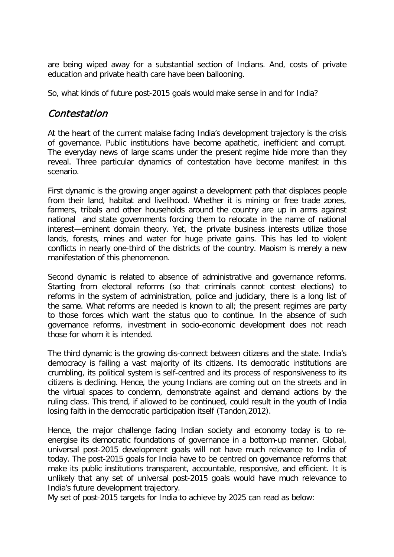are being wiped away for a substantial section of Indians. And, costs of private education and private health care have been ballooning.

So, what kinds of future post-2015 goals would make sense in and for India?

### Contestation

At the heart of the current malaise facing India's development trajectory is the crisis of governance. Public institutions have become apathetic, inefficient and corrupt. The everyday news of large scams under the present regime hide more than they reveal. Three particular dynamics of contestation have become manifest in this scenario.

First dynamic is the growing anger against a development path that displaces people from their land, habitat and livelihood. Whether it is mining or free trade zones, farmers, tribals and other households around the country are up in arms against national and state governments forcing them to relocate in the name of national interest—eminent domain theory. Yet, the private business interests utilize those lands, forests, mines and water for huge private gains. This has led to violent conflicts in nearly one-third of the districts of the country. Maoism is merely a new manifestation of this phenomenon.

Second dynamic is related to absence of administrative and governance reforms. Starting from electoral reforms (so that criminals cannot contest elections) to reforms in the system of administration, police and judiciary, there is a long list of the same. What reforms are needed is known to all; the present regimes are party to those forces which want the status quo to continue. In the absence of such governance reforms, investment in socio-economic development does not reach those for whom it is intended.

The third dynamic is the growing dis-connect between citizens and the state. India's democracy is failing a vast majority of its citizens. Its democratic institutions are crumbling, its political system is self-centred and its process of responsiveness to its citizens is declining. Hence, the young Indians are coming out on the streets and in the virtual spaces to condemn, demonstrate against and demand actions by the ruling class. This trend, if allowed to be continued, could result in the youth of India losing faith in the democratic participation itself (Tandon,2012).

Hence, the major challenge facing Indian society and economy today is to reenergise its democratic foundations of governance in a bottom-up manner. Global, universal post-2015 development goals will not have much relevance to India of today. The post-2015 goals for India have to be centred on governance reforms that make its public institutions transparent, accountable, responsive, and efficient. It is unlikely that any set of universal post-2015 goals would have much relevance to India's future development trajectory.

My set of post-2015 targets for India to achieve by 2025 can read as below: